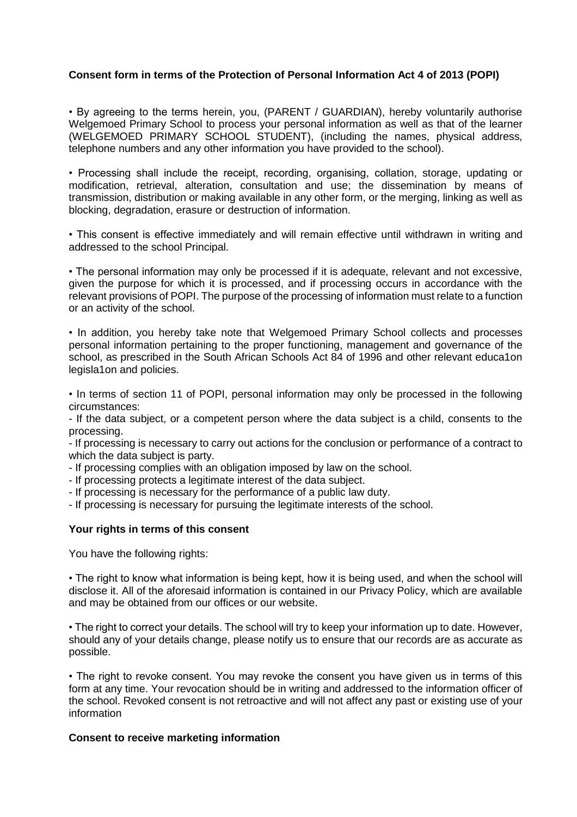## **Consent form in terms of the Protection of Personal Information Act 4 of 2013 (POPI)**

• By agreeing to the terms herein, you, (PARENT / GUARDIAN), hereby voluntarily authorise Welgemoed Primary School to process your personal information as well as that of the learner (WELGEMOED PRIMARY SCHOOL STUDENT), (including the names, physical address, telephone numbers and any other information you have provided to the school).

• Processing shall include the receipt, recording, organising, collation, storage, updating or modification, retrieval, alteration, consultation and use; the dissemination by means of transmission, distribution or making available in any other form, or the merging, linking as well as blocking, degradation, erasure or destruction of information.

• This consent is effective immediately and will remain effective until withdrawn in writing and addressed to the school Principal.

• The personal information may only be processed if it is adequate, relevant and not excessive, given the purpose for which it is processed, and if processing occurs in accordance with the relevant provisions of POPI. The purpose of the processing of information must relate to a function or an activity of the school.

• In addition, you hereby take note that Welgemoed Primary School collects and processes personal information pertaining to the proper functioning, management and governance of the school, as prescribed in the South African Schools Act 84 of 1996 and other relevant educa1on legisla1on and policies.

• In terms of section 11 of POPI, personal information may only be processed in the following circumstances:

- If the data subject, or a competent person where the data subject is a child, consents to the processing.

- If processing is necessary to carry out actions for the conclusion or performance of a contract to which the data subject is party.

- If processing complies with an obligation imposed by law on the school.

- If processing protects a legitimate interest of the data subject.

- If processing is necessary for the performance of a public law duty.

- If processing is necessary for pursuing the legitimate interests of the school.

## **Your rights in terms of this consent**

You have the following rights:

• The right to know what information is being kept, how it is being used, and when the school will disclose it. All of the aforesaid information is contained in our Privacy Policy, which are available and may be obtained from our offices or our website.

• The right to correct your details. The school will try to keep your information up to date. However, should any of your details change, please notify us to ensure that our records are as accurate as possible.

• The right to revoke consent. You may revoke the consent you have given us in terms of this form at any time. Your revocation should be in writing and addressed to the information officer of the school. Revoked consent is not retroactive and will not affect any past or existing use of your information

## **Consent to receive marketing information**